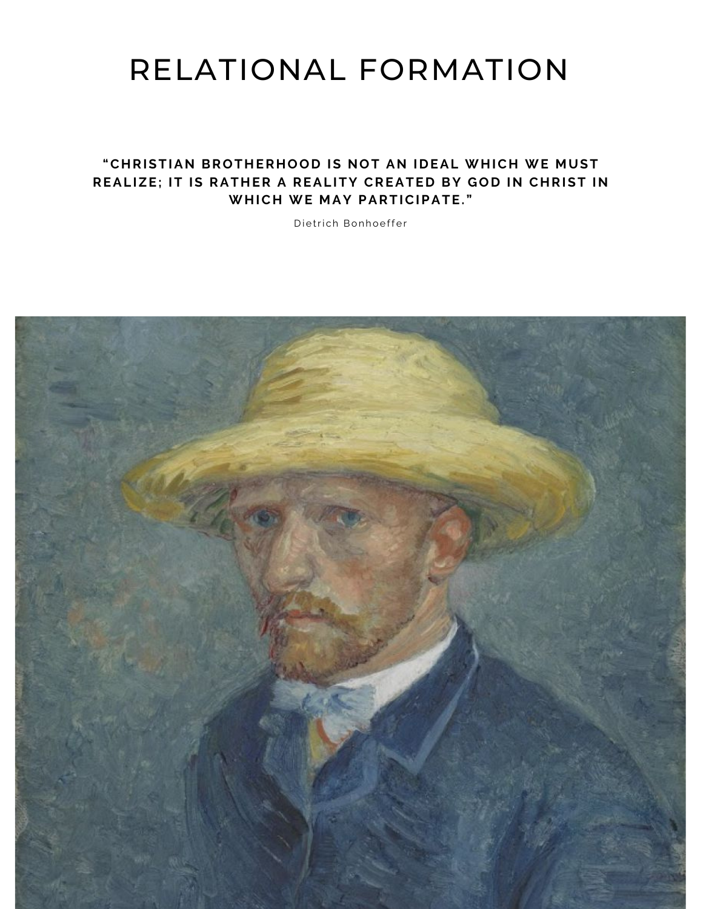# RELATIONAL FORMATION

#### **"CHRISTIAN BROTHERHOOD IS NOT AN IDEAL WHICH WE MUST REALIZE; IT IS RATHER A REALITY CREATED BY GOD IN CHRIST IN WHICH WE MAY PARTICIPATE. "**

Dietrich Bonhoeffer

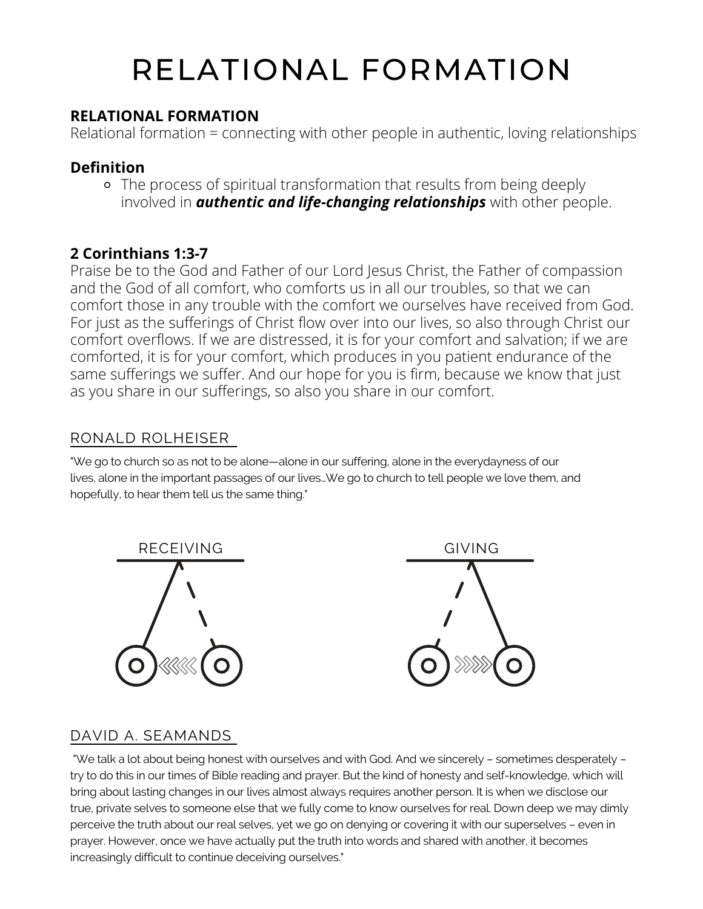# RELATIONAL FORMATION

#### **RELATIONAL FORMATION**

Relational formation = connecting with other people in authentic, loving relationships

## **Definition**

The process of spiritual transformation that results from being deeply involved in *authentic and life-changing relationships* with other people.

## **2 Corinthians 1:3-7**

Praise be to the God and Father of our Lord Jesus Christ, the Father of compassion and the God of all comfort, who comforts us in all our troubles, so that we can comfort those in any trouble with the comfort we ourselves have received from God. For just as the sufferings of Christ flow over into our lives, so also through Christ our comfort overflows. If we are distressed, it is for your comfort and salvation; if we are comforted, it is for your comfort, which produces in you patient endurance of the same sufferings we suffer. And our hope for you is firm, because we know that just as you share in our sufferings, so also you share in our comfort.

## RONALD ROLHEISER

"We go to church so as not to be alone—alone in our suffering, alone in the everydayness of our lives, alone in the important passages of our lives…We go to church to tell people we love them, and hopefully, to hear them tell us the same thing."



#### DAVID A. SEAMANDS

"We talk a lot about being honest with ourselves and with God. And we sincerely – sometimes desperately – try to do this in our times of Bible reading and prayer. But the kind of honesty and self-knowledge, which will bring about lasting changes in our lives almost always requires another person. It is when we disclose our true, private selves to someone else that we fully come to know ourselves for real. Down deep we may dimly perceive the truth about our real selves, yet we go on denying or covering it with our superselves – even in prayer. However, once we have actually put the truth into words and shared with another, it becomes increasingly difficult to continue deceiving ourselves."